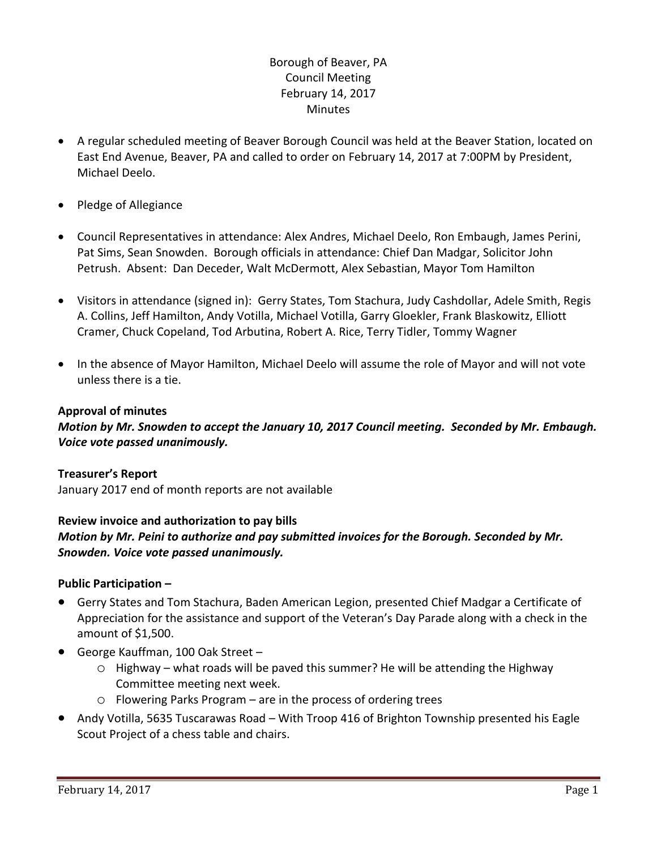# Borough of Beaver, PA Council Meeting February 14, 2017 **Minutes**

- A regular scheduled meeting of Beaver Borough Council was held at the Beaver Station, located on East End Avenue, Beaver, PA and called to order on February 14, 2017 at 7:00PM by President, Michael Deelo.
- Pledge of Allegiance
- Council Representatives in attendance: Alex Andres, Michael Deelo, Ron Embaugh, James Perini, Pat Sims, Sean Snowden. Borough officials in attendance: Chief Dan Madgar, Solicitor John Petrush. Absent: Dan Deceder, Walt McDermott, Alex Sebastian, Mayor Tom Hamilton
- Visitors in attendance (signed in): Gerry States, Tom Stachura, Judy Cashdollar, Adele Smith, Regis A. Collins, Jeff Hamilton, Andy Votilla, Michael Votilla, Garry Gloekler, Frank Blaskowitz, Elliott Cramer, Chuck Copeland, Tod Arbutina, Robert A. Rice, Terry Tidler, Tommy Wagner
- In the absence of Mayor Hamilton, Michael Deelo will assume the role of Mayor and will not vote unless there is a tie.

### **Approval of minutes**

*Motion by Mr. Snowden to accept the January 10, 2017 Council meeting. Seconded by Mr. Embaugh. Voice vote passed unanimously.* 

### **Treasurer's Report**

January 2017 end of month reports are not available

### **Review invoice and authorization to pay bills**

*Motion by Mr. Peini to authorize and pay submitted invoices for the Borough. Seconded by Mr. Snowden. Voice vote passed unanimously.*

### **Public Participation –**

- Gerry States and Tom Stachura, Baden American Legion, presented Chief Madgar a Certificate of Appreciation for the assistance and support of the Veteran's Day Parade along with a check in the amount of \$1,500.
- George Kauffman, 100 Oak Street
	- o Highway what roads will be paved this summer? He will be attending the Highway Committee meeting next week.
	- o Flowering Parks Program are in the process of ordering trees
- Andy Votilla, 5635 Tuscarawas Road With Troop 416 of Brighton Township presented his Eagle Scout Project of a chess table and chairs.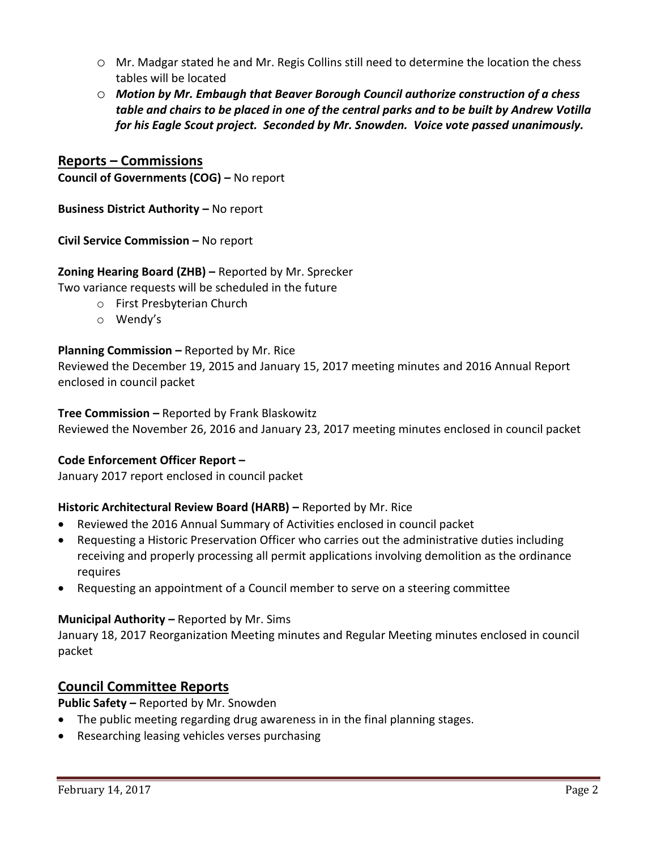- o Mr. Madgar stated he and Mr. Regis Collins still need to determine the location the chess tables will be located
- o *Motion by Mr. Embaugh that Beaver Borough Council authorize construction of a chess table and chairs to be placed in one of the central parks and to be built by Andrew Votilla for his Eagle Scout project. Seconded by Mr. Snowden. Voice vote passed unanimously.*

# **Reports – Commissions**

**Council of Governments (COG) –** No report

**Business District Authority –** No report

**Civil Service Commission –** No report

### **Zoning Hearing Board (ZHB) –** Reported by Mr. Sprecker

Two variance requests will be scheduled in the future

- o First Presbyterian Church
- o Wendy's

### **Planning Commission –** Reported by Mr. Rice

Reviewed the December 19, 2015 and January 15, 2017 meeting minutes and 2016 Annual Report enclosed in council packet

### **Tree Commission –** Reported by Frank Blaskowitz

Reviewed the November 26, 2016 and January 23, 2017 meeting minutes enclosed in council packet

### **Code Enforcement Officer Report –**

January 2017 report enclosed in council packet

### **Historic Architectural Review Board (HARB) – Reported by Mr. Rice**

- Reviewed the 2016 Annual Summary of Activities enclosed in council packet
- Requesting a Historic Preservation Officer who carries out the administrative duties including receiving and properly processing all permit applications involving demolition as the ordinance requires
- Requesting an appointment of a Council member to serve on a steering committee

### **Municipal Authority –** Reported by Mr. Sims

January 18, 2017 Reorganization Meeting minutes and Regular Meeting minutes enclosed in council packet

## **Council Committee Reports**

**Public Safety –** Reported by Mr. Snowden

- The public meeting regarding drug awareness in in the final planning stages.
- Researching leasing vehicles verses purchasing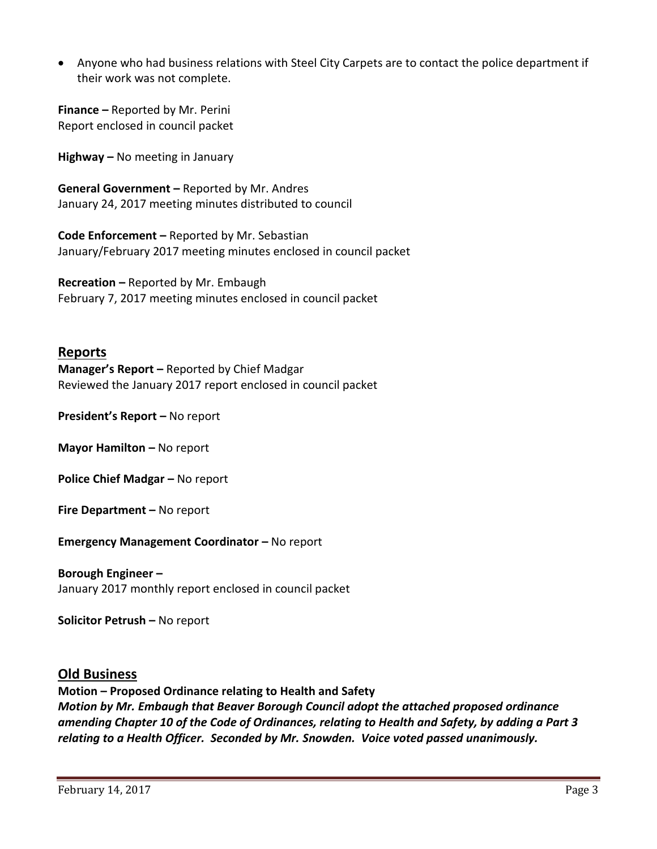Anyone who had business relations with Steel City Carpets are to contact the police department if their work was not complete.

**Finance –** Reported by Mr. Perini Report enclosed in council packet

**Highway –** No meeting in January

**General Government –** Reported by Mr. Andres January 24, 2017 meeting minutes distributed to council

**Code Enforcement –** Reported by Mr. Sebastian January/February 2017 meeting minutes enclosed in council packet

**Recreation –** Reported by Mr. Embaugh February 7, 2017 meeting minutes enclosed in council packet

# **Reports**

**Manager's Report –** Reported by Chief Madgar Reviewed the January 2017 report enclosed in council packet

**President's Report –** No report

**Mayor Hamilton - No report** 

**Police Chief Madgar – No report** 

**Fire Department –** No report

**Emergency Management Coordinator - No report** 

# **Borough Engineer –**

January 2017 monthly report enclosed in council packet

**Solicitor Petrush –** No report

## **Old Business**

**Motion – Proposed Ordinance relating to Health and Safety** *Motion by Mr. Embaugh that Beaver Borough Council adopt the attached proposed ordinance amending Chapter 10 of the Code of Ordinances, relating to Health and Safety, by adding a Part 3 relating to a Health Officer. Seconded by Mr. Snowden. Voice voted passed unanimously.*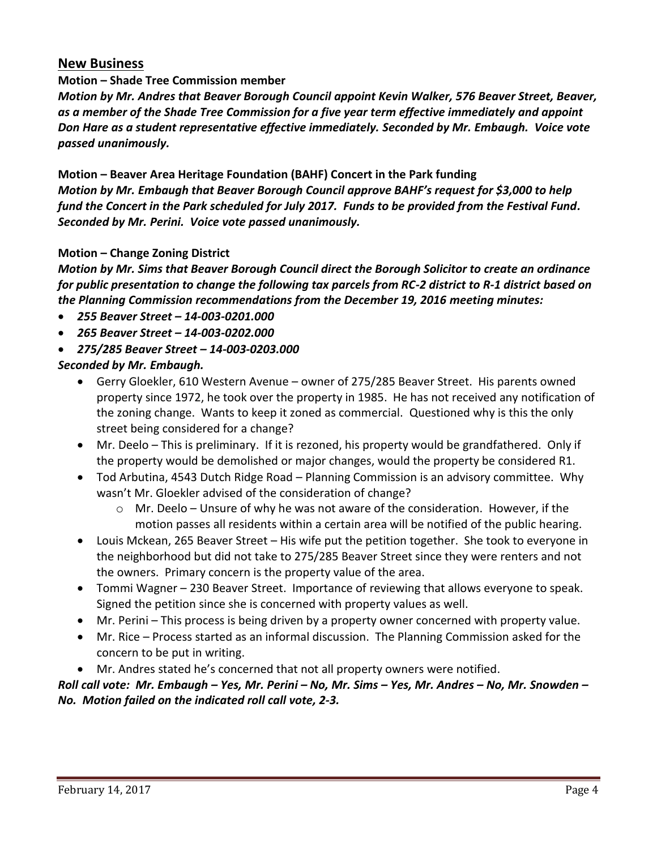# **New Business**

## **Motion – Shade Tree Commission member**

*Motion by Mr. Andres that Beaver Borough Council appoint Kevin Walker, 576 Beaver Street, Beaver, as a member of the Shade Tree Commission for a five year term effective immediately and appoint Don Hare as a student representative effective immediately. Seconded by Mr. Embaugh. Voice vote passed unanimously.*

**Motion – Beaver Area Heritage Foundation (BAHF) Concert in the Park funding** *Motion by Mr. Embaugh that Beaver Borough Council approve BAHF's request for \$3,000 to help fund the Concert in the Park scheduled for July 2017. Funds to be provided from the Festival Fund. Seconded by Mr. Perini. Voice vote passed unanimously.*

### **Motion – Change Zoning District**

*Motion by Mr. Sims that Beaver Borough Council direct the Borough Solicitor to create an ordinance for public presentation to change the following tax parcels from RC-2 district to R-1 district based on the Planning Commission recommendations from the December 19, 2016 meeting minutes:* 

- *255 Beaver Street – 14-003-0201.000*
- *265 Beaver Street – 14-003-0202.000*
- *275/285 Beaver Street – 14-003-0203.000*

*Seconded by Mr. Embaugh.* 

- Gerry Gloekler, 610 Western Avenue owner of 275/285 Beaver Street. His parents owned property since 1972, he took over the property in 1985. He has not received any notification of the zoning change. Wants to keep it zoned as commercial. Questioned why is this the only street being considered for a change?
- Mr. Deelo This is preliminary. If it is rezoned, his property would be grandfathered. Only if the property would be demolished or major changes, would the property be considered R1.
- Tod Arbutina, 4543 Dutch Ridge Road Planning Commission is an advisory committee. Why wasn't Mr. Gloekler advised of the consideration of change?
	- $\circ$  Mr. Deelo Unsure of why he was not aware of the consideration. However, if the motion passes all residents within a certain area will be notified of the public hearing.
- Louis Mckean, 265 Beaver Street His wife put the petition together. She took to everyone in the neighborhood but did not take to 275/285 Beaver Street since they were renters and not the owners. Primary concern is the property value of the area.
- Tommi Wagner 230 Beaver Street. Importance of reviewing that allows everyone to speak. Signed the petition since she is concerned with property values as well.
- Mr. Perini This process is being driven by a property owner concerned with property value.
- Mr. Rice Process started as an informal discussion. The Planning Commission asked for the concern to be put in writing.
- Mr. Andres stated he's concerned that not all property owners were notified.

*Roll call vote: Mr. Embaugh – Yes, Mr. Perini – No, Mr. Sims – Yes, Mr. Andres – No, Mr. Snowden – No. Motion failed on the indicated roll call vote, 2-3.*